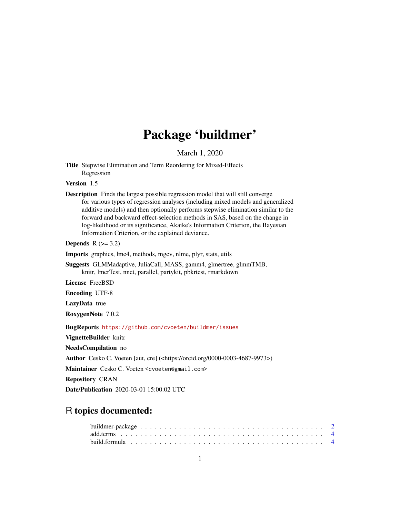# Package 'buildmer'

March 1, 2020

Title Stepwise Elimination and Term Reordering for Mixed-Effects Regression

Version 1.5

Description Finds the largest possible regression model that will still converge for various types of regression analyses (including mixed models and generalized additive models) and then optionally performs stepwise elimination similar to the forward and backward effect-selection methods in SAS, based on the change in log-likelihood or its significance, Akaike's Information Criterion, the Bayesian Information Criterion, or the explained deviance.

Depends  $R$  ( $>= 3.2$ )

Imports graphics, lme4, methods, mgcv, nlme, plyr, stats, utils

Suggests GLMMadaptive, JuliaCall, MASS, gamm4, glmertree, glmmTMB, knitr, lmerTest, nnet, parallel, partykit, pbkrtest, rmarkdown

License FreeBSD

Encoding UTF-8

LazyData true

RoxygenNote 7.0.2

BugReports <https://github.com/cvoeten/buildmer/issues>

VignetteBuilder knitr

NeedsCompilation no

Author Cesko C. Voeten [aut, cre] (<https://orcid.org/0000-0003-4687-9973>)

Maintainer Cesko C. Voeten <cvoeten@gmail.com>

Repository CRAN

Date/Publication 2020-03-01 15:00:02 UTC

# R topics documented: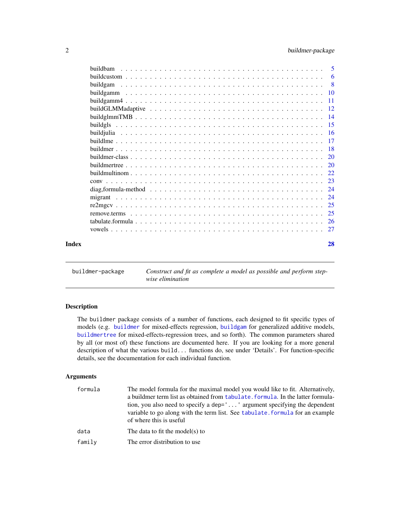<span id="page-1-0"></span>

|       | <b>buildbam</b> | 5   |
|-------|-----------------|-----|
|       |                 | 6   |
|       |                 | - 8 |
|       |                 |     |
|       |                 | -11 |
|       |                 | -12 |
|       |                 |     |
|       |                 |     |
|       |                 |     |
|       |                 | -17 |
|       |                 |     |
|       |                 | 20  |
|       |                 | 20  |
|       |                 |     |
|       |                 |     |
|       |                 | 24  |
|       |                 | 24  |
|       |                 |     |
|       |                 | 25  |
|       |                 |     |
|       |                 |     |
| Index |                 | 28  |

<span id="page-1-1"></span>buildmer-package *Construct and fit as complete a model as possible and perform stepwise elimination*

#### Description

The buildmer package consists of a number of functions, each designed to fit specific types of models (e.g. [buildmer](#page-17-1) for mixed-effects regression, [buildgam](#page-7-1) for generalized additive models, [buildmertree](#page-19-1) for mixed-effects-regression trees, and so forth). The common parameters shared by all (or most of) these functions are documented here. If you are looking for a more general description of what the various build... functions do, see under 'Details'. For function-specific details, see the documentation for each individual function.

#### Arguments

| formula | The model formula for the maximal model you would like to fit. Alternatively,<br>a buildmer term list as obtained from tabulate. formula. In the latter formula-<br>tion, you also need to specify a dep='' argument specifying the dependent<br>variable to go along with the term list. See tabulate, formula for an example<br>of where this is useful |
|---------|-----------------------------------------------------------------------------------------------------------------------------------------------------------------------------------------------------------------------------------------------------------------------------------------------------------------------------------------------------------|
| data    | The data to fit the model(s) to                                                                                                                                                                                                                                                                                                                           |
| family  | The error distribution to use                                                                                                                                                                                                                                                                                                                             |
|         |                                                                                                                                                                                                                                                                                                                                                           |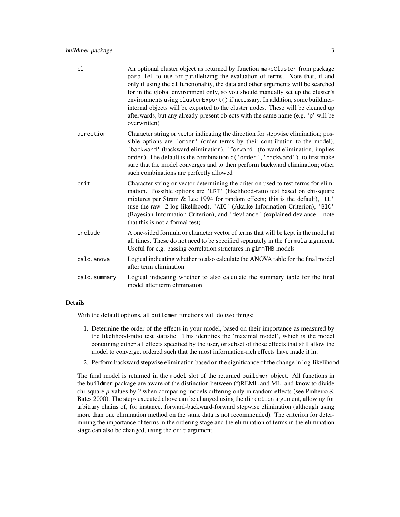#### buildmer-package 3

| cl           | An optional cluster object as returned by function makeCluster from package<br>parallel to use for parallelizing the evaluation of terms. Note that, if and<br>only if using the c1 functionality, the data and other arguments will be searched<br>for in the global environment only, so you should manually set up the cluster's<br>environments using clusterExport() if necessary. In addition, some buildmer-<br>internal objects will be exported to the cluster nodes. These will be cleaned up<br>afterwards, but any already-present objects with the same name (e.g. 'p' will be<br>overwritten) |
|--------------|-------------------------------------------------------------------------------------------------------------------------------------------------------------------------------------------------------------------------------------------------------------------------------------------------------------------------------------------------------------------------------------------------------------------------------------------------------------------------------------------------------------------------------------------------------------------------------------------------------------|
| direction    | Character string or vector indicating the direction for stepwise elimination; pos-<br>sible options are 'order' (order terms by their contribution to the model),<br>'backward' (backward elimination), 'forward' (forward elimination, implies<br>order). The default is the combination c('order', 'backward'), to first make<br>sure that the model converges and to then perform backward elimination; other<br>such combinations are perfectly allowed                                                                                                                                                 |
| crit         | Character string or vector determining the criterion used to test terms for elim-<br>ination. Possible options are 'LRT' (likelihood-ratio test based on chi-square<br>mixtures per Stram & Lee 1994 for random effects; this is the default), 'LL'<br>(use the raw -2 log likelihood), 'AIC' (Akaike Information Criterion), 'BIC'<br>(Bayesian Information Criterion), and 'deviance' (explained deviance - note<br>that this is not a formal test)                                                                                                                                                       |
| include      | A one-sided formula or character vector of terms that will be kept in the model at<br>all times. These do not need to be specified separately in the formula argument.<br>Useful for e.g. passing correlation structures in g1mmTMB models                                                                                                                                                                                                                                                                                                                                                                  |
| calc.anova   | Logical indicating whether to also calculate the ANOVA table for the final model<br>after term elimination                                                                                                                                                                                                                                                                                                                                                                                                                                                                                                  |
| calc.summary | Logical indicating whether to also calculate the summary table for the final<br>model after term elimination                                                                                                                                                                                                                                                                                                                                                                                                                                                                                                |

#### Details

With the default options, all buildmer functions will do two things:

- 1. Determine the order of the effects in your model, based on their importance as measured by the likelihood-ratio test statistic. This identifies the 'maximal model', which is the model containing either all effects specified by the user, or subset of those effects that still allow the model to converge, ordered such that the most information-rich effects have made it in.
- 2. Perform backward stepwise elimination based on the significance of the change in log-likelihood.

The final model is returned in the model slot of the returned buildmer object. All functions in the buildmer package are aware of the distinction between (f)REML and ML, and know to divide chi-square *p*-values by 2 when comparing models differing only in random effects (see Pinheiro & Bates 2000). The steps executed above can be changed using the direction argument, allowing for arbitrary chains of, for instance, forward-backward-forward stepwise elimination (although using more than one elimination method on the same data is not recommended). The criterion for determining the importance of terms in the ordering stage and the elimination of terms in the elimination stage can also be changed, using the crit argument.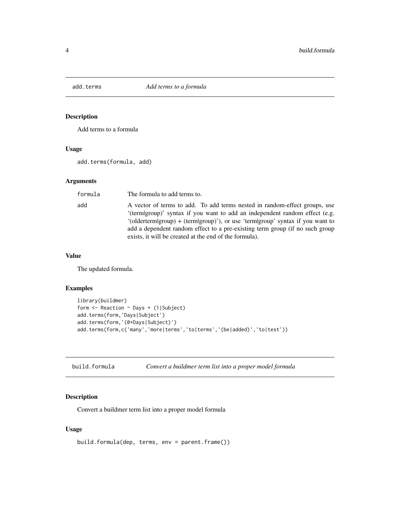<span id="page-3-0"></span>

#### Description

Add terms to a formula

#### Usage

add.terms(formula, add)

#### Arguments

| formula | The formula to add terms to.                                                                                                                                                                                                                                                                                                                                                                |
|---------|---------------------------------------------------------------------------------------------------------------------------------------------------------------------------------------------------------------------------------------------------------------------------------------------------------------------------------------------------------------------------------------------|
| add     | A vector of terms to add. To add terms nested in random-effect groups, use<br>'(termigroup)' syntax if you want to add an independent random effect (e.g.<br>$'(older term group) + (term group)$ , or use 'term $ group$ ' syntax if you want to<br>add a dependent random effect to a pre-existing term group (if no such group<br>exists, it will be created at the end of the formula). |

#### Value

The updated formula.

#### Examples

```
library(buildmer)
form <- Reaction ~ Days + (1|Subject)
add.terms(form,'Days|Subject')
add.terms(form,'(0+Days|Subject)')
add.terms(form,c('many','more|terms','to|terms','(be|added)','to|test'))
```

| build.formula | Convert a buildmer term list into a proper model formula |  |  |  |
|---------------|----------------------------------------------------------|--|--|--|
|---------------|----------------------------------------------------------|--|--|--|

#### Description

Convert a buildmer term list into a proper model formula

#### Usage

```
build.formula(dep, terms, env = parent.frame())
```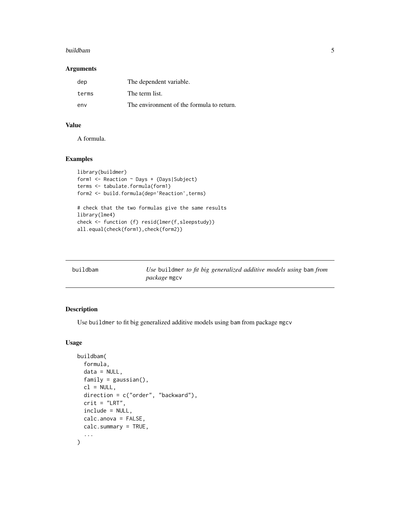#### <span id="page-4-0"></span>buildbam 55 to 1999 and 1999 and 1999 and 1999 and 1999 and 1999 and 1999 and 1999 and 1999 and 1999 and 1999

#### Arguments

| dep   | The dependent variable.                   |
|-------|-------------------------------------------|
| terms | The term list.                            |
| env   | The environment of the formula to return. |

#### Value

A formula.

#### Examples

```
library(buildmer)
form1 <- Reaction ~ Days + (Days|Subject)
terms <- tabulate.formula(form1)
form2 <- build.formula(dep='Reaction',terms)
# check that the two formulas give the same results
library(lme4)
check <- function (f) resid(lmer(f,sleepstudy))
all.equal(check(form1),check(form2))
```

| buildbam | Use buildmer to fit big generalized additive models using bam from |
|----------|--------------------------------------------------------------------|
|          | <i>package</i> mgcv                                                |

#### Description

Use buildmer to fit big generalized additive models using bam from package mgcv

#### Usage

```
buildbam(
  formula,
  data = NULL,
  family = gaussian(),
  cl = NULL,direction = c("order", "backward"),
  crit = "LRT",include = NULL,
  calc.anova = FALSE,
 calc.summary = TRUE,
  ...
)
```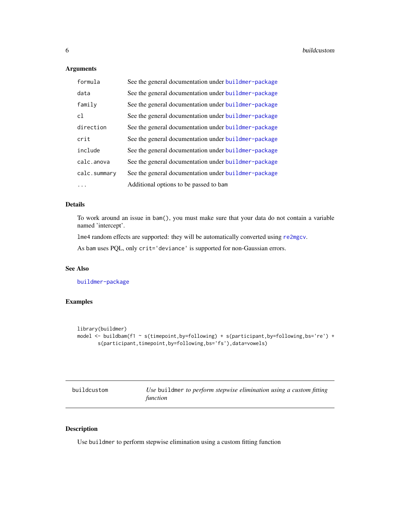#### <span id="page-5-0"></span>Arguments

| formula      | See the general documentation under buildmer-package |
|--------------|------------------------------------------------------|
| data         | See the general documentation under buildmer-package |
| family       | See the general documentation under buildmer-package |
| c1           | See the general documentation under buildmer-package |
| direction    | See the general documentation under buildmer-package |
| crit         | See the general documentation under buildmer-package |
| include      | See the general documentation under buildmer-package |
| calc.anova   | See the general documentation under buildmer-package |
| calc.summary | See the general documentation under buildmer-package |
| .            | Additional options to be passed to bam               |

#### Details

To work around an issue in bam(), you must make sure that your data do not contain a variable named 'intercept'.

lme4 random effects are supported: they will be automatically converted using [re2mgcv](#page-24-1).

As bam uses PQL, only crit='deviance' is supported for non-Gaussian errors.

#### See Also

[buildmer-package](#page-1-1)

#### Examples

```
library(buildmer)
model <- buildbam(f1 ~ s(timepoint,by=following) + s(participant,by=following,bs='re') +
       s(participant,timepoint,by=following,bs='fs'),data=vowels)
```

| buildcustom | Use buildmer to perform stepwise elimination using a custom fitting |
|-------------|---------------------------------------------------------------------|
|             | function                                                            |

#### Description

Use buildmer to perform stepwise elimination using a custom fitting function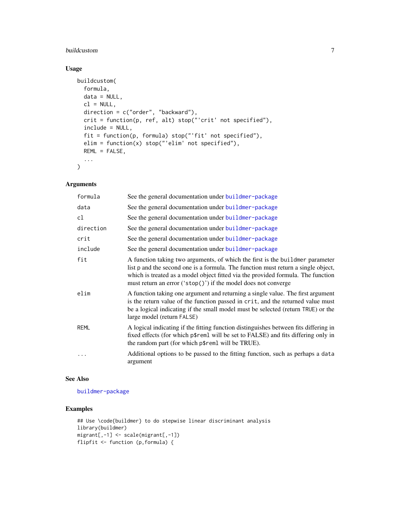#### buildcustom 7

#### Usage

```
buildcustom(
 formula,
 data = NULL,
 cl = NULL,direction = c("order", "backward"),
 crit = function(p, ref, alt) stop("'crit' not specified"),
  include = NULL,
  fit = function(p, formula) stop("'fit' not specified"),
 elim = function(x) stop("'elim' not specified"),
 REML = FALSE,
  ...
\mathcal{L}
```
#### Arguments

| formula     | See the general documentation under buildmer-package                                                                                                                                                                                                                                                                      |
|-------------|---------------------------------------------------------------------------------------------------------------------------------------------------------------------------------------------------------------------------------------------------------------------------------------------------------------------------|
| data        | See the general documentation under buildmer-package                                                                                                                                                                                                                                                                      |
| cl          | See the general documentation under buildmer-package                                                                                                                                                                                                                                                                      |
| direction   | See the general documentation under buildmer-package                                                                                                                                                                                                                                                                      |
| crit        | See the general documentation under buildmer-package                                                                                                                                                                                                                                                                      |
| include     | See the general documentation under buildmer-package                                                                                                                                                                                                                                                                      |
| fit         | A function taking two arguments, of which the first is the buildmer parameter<br>list p and the second one is a formula. The function must return a single object,<br>which is treated as a model object fitted via the provided formula. The function<br>must return an error $('stop())$ if the model does not converge |
| elim        | A function taking one argument and returning a single value. The first argument<br>is the return value of the function passed in crit, and the returned value must<br>be a logical indicating if the small model must be selected (return TRUE) or the<br>large model (return FALSE)                                      |
| <b>REML</b> | A logical indicating if the fitting function distinguishes between fits differing in<br>fixed effects (for which p\$reml will be set to FALSE) and fits differing only in<br>the random part (for which p\$reml will be TRUE).                                                                                            |
|             | Additional options to be passed to the fitting function, such as perhaps a data<br>argument                                                                                                                                                                                                                               |

#### See Also

[buildmer-package](#page-1-1)

```
## Use \code{buildmer} to do stepwise linear discriminant analysis
library(buildmer)
migrant[,-1] <- scale(migrant[,-1])
flipfit <- function (p,formula) {
```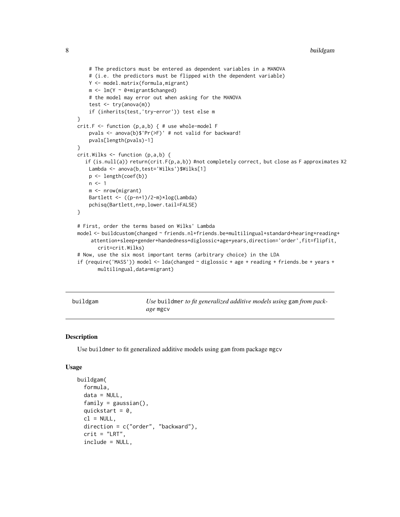```
# The predictors must be entered as dependent variables in a MANOVA
    # (i.e. the predictors must be flipped with the dependent variable)
   Y <- model.matrix(formula,migrant)
   m <- lm(Y ~ 0+migrant$changed)
    # the model may error out when asking for the MANOVA
    test <- try(anova(m))
   if (inherits(test,'try-error')) test else m
}
crit.F \le function (p,a,b) { # use whole-model F
   pvals <- anova(b)$'Pr(>F)' # not valid for backward!
   pvals[length(pvals)-1]
}
crit.Wilks <- function (p,a,b) {
  if (is.null(a)) return(crit.F(p,a,b)) #not completely correct, but close as F approximates X2
   Lambda <- anova(b,test='Wilks')$Wilks[1]
   p <- length(coef(b))
   n \leq -1m <- nrow(migrant)
   Bartlett <- ((p-n+1)/2-m)*log(Lambda)
   pchisq(Bartlett,n*p,lower.tail=FALSE)
}
# First, order the terms based on Wilks' Lambda
model <- buildcustom(changed ~ friends.nl+friends.be+multilingual+standard+hearing+reading+
    attention+sleep+gender+handedness+diglossic+age+years,direction='order',fit=flipfit,
       crit=crit.Wilks)
# Now, use the six most important terms (arbitrary choice) in the LDA
if (require('MASS')) model <- lda(changed ~ diglossic + age + reading + friends.be + years +
       multilingual,data=migrant)
```
<span id="page-7-1"></span>buildgam *Use* buildmer *to fit generalized additive models using* gam *from package* mgcv

#### Description

Use buildmer to fit generalized additive models using gam from package mgcv

#### Usage

```
buildgam(
  formula,
  data = NULL,family = gaussian(),
  quickstart = 0,
  cl = NULL,direction = c("order", "backward"),
  crit = "LRT",include = NULL,
```
<span id="page-7-0"></span>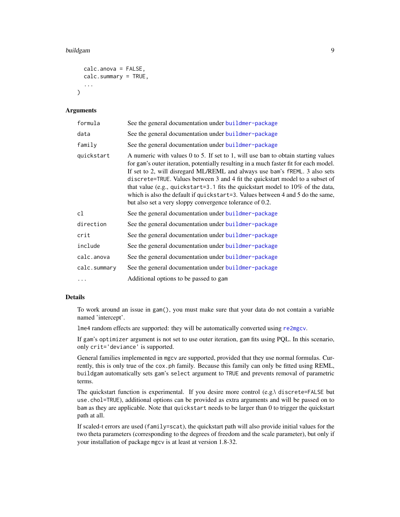#### <span id="page-8-0"></span>buildgam 9

```
calc.anova = FALSE,
calc.summary = TRUE,
...
```
#### Arguments

 $\lambda$ 

| formula      | See the general documentation under buildmer-package                                                                                                                                                                                                                                                                                                                                                                                                                                                                                                                          |
|--------------|-------------------------------------------------------------------------------------------------------------------------------------------------------------------------------------------------------------------------------------------------------------------------------------------------------------------------------------------------------------------------------------------------------------------------------------------------------------------------------------------------------------------------------------------------------------------------------|
| data         | See the general documentation under buildmer-package                                                                                                                                                                                                                                                                                                                                                                                                                                                                                                                          |
| family       | See the general documentation under buildmer-package                                                                                                                                                                                                                                                                                                                                                                                                                                                                                                                          |
| quickstart   | A numeric with values 0 to 5. If set to 1, will use bam to obtain starting values<br>for gam's outer iteration, potentially resulting in a much faster fit for each model.<br>If set to 2, will disregard ML/REML and always use bam's fREML. 3 also sets<br>discrete=TRUE. Values between 3 and 4 fit the quickstart model to a subset of<br>that value (e.g., quickstart=3.1 fits the quickstart model to $10\%$ of the data,<br>which is also the default if quickstart=3. Values between 4 and 5 do the same,<br>but also set a very sloppy convergence tolerance of 0.2. |
| cl           | See the general documentation under buildmer-package                                                                                                                                                                                                                                                                                                                                                                                                                                                                                                                          |
| direction    | See the general documentation under buildmer-package                                                                                                                                                                                                                                                                                                                                                                                                                                                                                                                          |
| crit         | See the general documentation under buildmer-package                                                                                                                                                                                                                                                                                                                                                                                                                                                                                                                          |
| include      | See the general documentation under buildmer-package                                                                                                                                                                                                                                                                                                                                                                                                                                                                                                                          |
| calc.anova   | See the general documentation under buildmer-package                                                                                                                                                                                                                                                                                                                                                                                                                                                                                                                          |
| calc.summary | See the general documentation under buildmer-package                                                                                                                                                                                                                                                                                                                                                                                                                                                                                                                          |
| $\cdots$     | Additional options to be passed to gam                                                                                                                                                                                                                                                                                                                                                                                                                                                                                                                                        |

#### Details

To work around an issue in gam(), you must make sure that your data do not contain a variable named 'intercept'.

lme4 random effects are supported: they will be automatically converted using [re2mgcv](#page-24-1).

If gam's optimizer argument is not set to use outer iteration, gam fits using PQL. In this scenario, only crit='deviance' is supported.

General families implemented in mgcv are supported, provided that they use normal formulas. Currently, this is only true of the cox.ph family. Because this family can only be fitted using REML, buildgam automatically sets gam's select argument to TRUE and prevents removal of parametric terms.

The quickstart function is experimental. If you desire more control (e.g.\ discrete=FALSE but use.chol=TRUE), additional options can be provided as extra arguments and will be passed on to bam as they are applicable. Note that quickstart needs to be larger than 0 to trigger the quickstart path at all.

If scaled-t errors are used (family=scat), the quickstart path will also provide initial values for the two theta parameters (corresponding to the degrees of freedom and the scale parameter), but only if your installation of package mgcv is at least at version 1.8-32.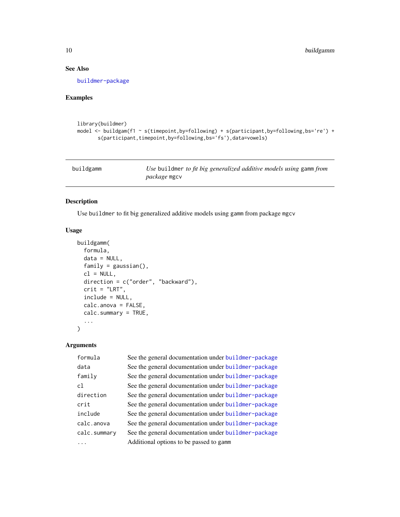#### See Also

[buildmer-package](#page-1-1)

#### Examples

```
library(buildmer)
model <- buildgam(f1 ~ s(timepoint,by=following) + s(participant,by=following,bs='re') +
       s(participant,timepoint,by=following,bs='fs'),data=vowels)
```

| buildgamm | Use buildmer to fit big generalized additive models using gamm from |
|-----------|---------------------------------------------------------------------|
|           | <i>package</i> mgcv                                                 |

#### Description

Use buildmer to fit big generalized additive models using gamm from package mgcv

#### Usage

```
buildgamm(
 formula,
  data = NULL,family = gaussian(),
 cl = NULL,direction = c("order", "backward"),
 crit = "LRT",include = NULL,
 calc.anova = FALSE,
 calc.summary = TRUE,
  ...
\mathcal{L}
```
#### Arguments

| formula      | See the general documentation under buildmer-package |
|--------------|------------------------------------------------------|
| data         | See the general documentation under buildmer-package |
| family       | See the general documentation under buildmer-package |
| c1           | See the general documentation under buildmer-package |
| direction    | See the general documentation under buildmer-package |
| crit         | See the general documentation under buildmer-package |
| include      | See the general documentation under buildmer-package |
| calc.anova   | See the general documentation under buildmer-package |
| calc.summary | See the general documentation under buildmer-package |
|              | Additional options to be passed to gamm              |

<span id="page-9-0"></span>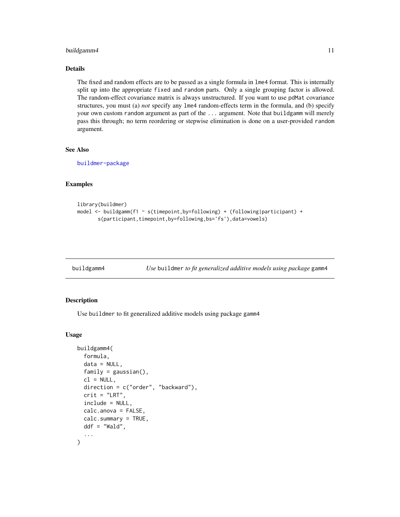#### <span id="page-10-0"></span>buildgamm4 11

#### Details

The fixed and random effects are to be passed as a single formula in lme4 format. This is internally split up into the appropriate fixed and random parts. Only a single grouping factor is allowed. The random-effect covariance matrix is always unstructured. If you want to use pdMat covariance structures, you must (a) *not* specify any lme4 random-effects term in the formula, and (b) specify your own custom random argument as part of the ... argument. Note that buildgamm will merely pass this through; no term reordering or stepwise elimination is done on a user-provided random argument.

#### See Also

[buildmer-package](#page-1-1)

#### Examples

```
library(buildmer)
model <- buildgamm(f1 ~ s(timepoint,by=following) + (following|participant) +
      s(participant,timepoint,by=following,bs='fs'),data=vowels)
```
buildgamm4 *Use* buildmer *to fit generalized additive models using package* gamm4

#### Description

Use buildmer to fit generalized additive models using package gamm4

#### Usage

```
buildgamm4(
  formula,
  data = NULL,
  family = gaussian(),
  cl = NULL,direction = c("order", "backward"),
 crit = "LRT",include = NULL,
  calc.anova = FALSE,
  calc.summary = TRUE,
 ddf = "Wald",
  ...
)
```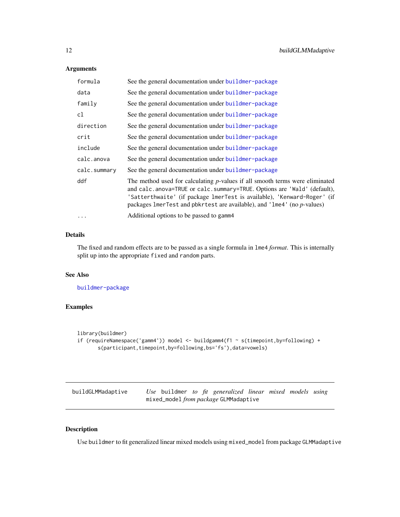#### <span id="page-11-0"></span>Arguments

| formula      | See the general documentation under buildmer-package                                                                                                                                                                                                                                                             |
|--------------|------------------------------------------------------------------------------------------------------------------------------------------------------------------------------------------------------------------------------------------------------------------------------------------------------------------|
| data         | See the general documentation under buildmer-package                                                                                                                                                                                                                                                             |
| family       | See the general documentation under buildmer-package                                                                                                                                                                                                                                                             |
| cl           | See the general documentation under buildmer-package                                                                                                                                                                                                                                                             |
| direction    | See the general documentation under buildmer-package                                                                                                                                                                                                                                                             |
| crit         | See the general documentation under buildmer-package                                                                                                                                                                                                                                                             |
| include      | See the general documentation under buildmer-package                                                                                                                                                                                                                                                             |
| calc.anova   | See the general documentation under buildmer-package                                                                                                                                                                                                                                                             |
| calc.summary | See the general documentation under buildmer-package                                                                                                                                                                                                                                                             |
| ddf          | The method used for calculating $p$ -values if all smooth terms were eliminated<br>and calc.anova=TRUE or calc.summary=TRUE. Options are 'Wald' (default),<br>'Satterthwaite' (if package lmerTest is available), 'Kenward-Roger' (if<br>packages lmerTest and pbkrtest are available), and 'lme4' (no p-values) |
|              | Additional options to be passed to gamm4                                                                                                                                                                                                                                                                         |

#### Details

The fixed and random effects are to be passed as a single formula in lme4 *format*. This is internally split up into the appropriate fixed and random parts.

#### See Also

[buildmer-package](#page-1-1)

#### Examples

```
library(buildmer)
if (requireNamespace('gamm4')) model <- buildgamm4(f1 ~ s(timepoint,by=following) +
       s(participant,timepoint,by=following,bs='fs'),data=vowels)
```

| buildGLMMadaptive |  |  | Use buildmer to fit generalized linear mixed models using |  |  |
|-------------------|--|--|-----------------------------------------------------------|--|--|
|                   |  |  | mixed_model from package GLMMadaptive                     |  |  |

#### Description

Use buildmer to fit generalized linear mixed models using mixed\_model from package GLMMadaptive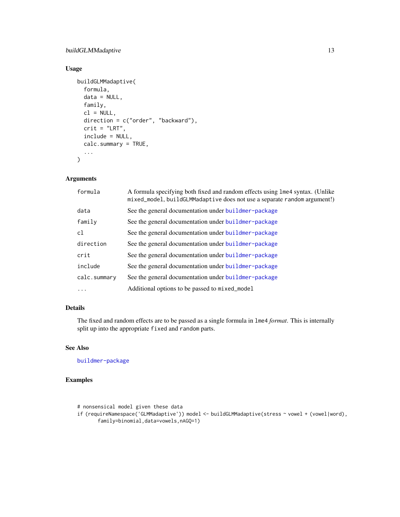#### buildGLMMadaptive 13

#### Usage

```
buildGLMMadaptive(
  formula,
 data = NULL,
 family,
 cl = NULL,direction = c("order", "backward"),
  crit = "LRT",include = NULL,
 calc.summary = TRUE,
  ...
\mathcal{L}
```
#### Arguments

| formula      | A formula specifying both fixed and random effects using lme4 syntax. (Unlike<br>mixed_model, buildGLMMadaptive does not use a separate random argument!) |
|--------------|-----------------------------------------------------------------------------------------------------------------------------------------------------------|
| data         | See the general documentation under buildmer-package                                                                                                      |
| family       | See the general documentation under buildmer-package                                                                                                      |
| c1           | See the general documentation under buildmer-package                                                                                                      |
| direction    | See the general documentation under buildmer-package                                                                                                      |
| crit         | See the general documentation under buildmer-package                                                                                                      |
| include      | See the general documentation under buildmer-package                                                                                                      |
| calc.summary | See the general documentation under buildmer-package                                                                                                      |
| .            | Additional options to be passed to mixed_model                                                                                                            |

#### Details

The fixed and random effects are to be passed as a single formula in lme4 *format*. This is internally split up into the appropriate fixed and random parts.

#### See Also

[buildmer-package](#page-1-1)

```
# nonsensical model given these data
if (requireNamespace('GLMMadaptive')) model <- buildGLMMadaptive(stress ~ vowel + (vowel|word),
      family=binomial,data=vowels,nAGQ=1)
```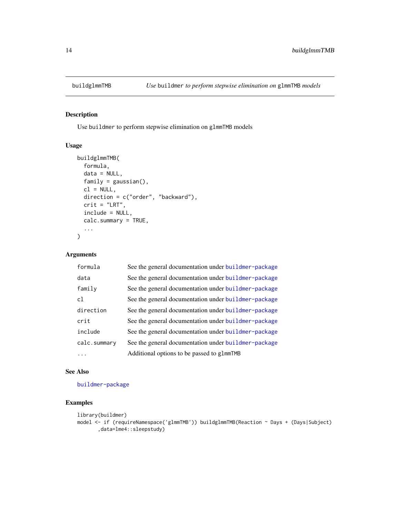<span id="page-13-0"></span>

#### Description

Use buildmer to perform stepwise elimination on glmmTMB models

#### Usage

```
buildglmmTMB(
  formula,
 data = NULL,
 family = gaussian(),
 cl = NULL,direction = c("order", "backward"),
  crit = "LRT",include = NULL,
 calc.summary = TRUE,
  ...
)
```
#### Arguments

| formula        | See the general documentation under buildmer-package |
|----------------|------------------------------------------------------|
| data           | See the general documentation under buildmer-package |
| family         | See the general documentation under buildmer-package |
| c <sub>1</sub> | See the general documentation under buildmer-package |
| direction      | See the general documentation under buildmer-package |
| crit           | See the general documentation under buildmer-package |
| include        | See the general documentation under buildmer-package |
| calc.summary   | See the general documentation under buildmer-package |
|                | Additional options to be passed to glmmTMB           |

#### See Also

[buildmer-package](#page-1-1)

```
library(buildmer)
model <- if (requireNamespace('glmmTMB')) buildglmmTMB(Reaction ~ Days + (Days|Subject)
       ,data=lme4::sleepstudy)
```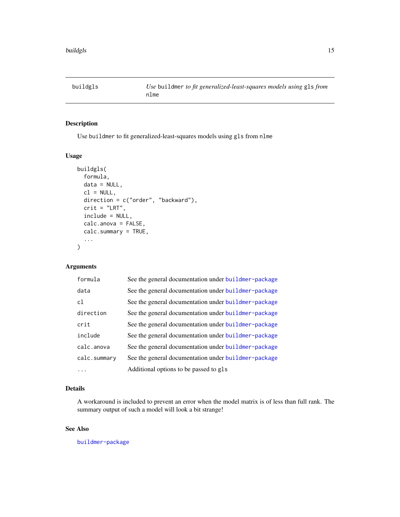<span id="page-14-0"></span>

#### Description

Use buildmer to fit generalized-least-squares models using gls from nlme

#### Usage

```
buildgls(
  formula,
  data = NULL,cl = NULL,direction = c("order", "backward"),
  crit = "LRT",include = NULL,
  calc.anova = FALSE,
  calc.summary = TRUE,
  ...
)
```
#### Arguments

| formula        | See the general documentation under buildmer-package |
|----------------|------------------------------------------------------|
| data           | See the general documentation under buildmer-package |
| c <sub>1</sub> | See the general documentation under buildmer-package |
| direction      | See the general documentation under buildmer-package |
| crit           | See the general documentation under buildmer-package |
| include        | See the general documentation under buildmer-package |
| calc.anova     | See the general documentation under buildmer-package |
| calc.summary   | See the general documentation under buildmer-package |
| .              | Additional options to be passed to gls               |

#### Details

A workaround is included to prevent an error when the model matrix is of less than full rank. The summary output of such a model will look a bit strange!

#### See Also

[buildmer-package](#page-1-1)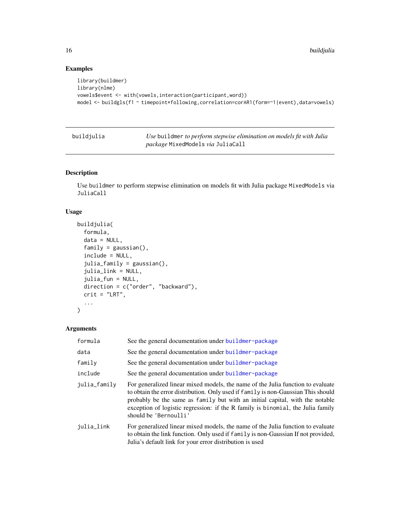### Examples

```
library(buildmer)
library(nlme)
vowels$event <- with(vowels,interaction(participant,word))
model <- buildgls(f1 ~ timepoint*following,correlation=corAR1(form=~1|event),data=vowels)
```

| buildjulia | Use buildmer to perform stepwise elimination on models fit with Julia |
|------------|-----------------------------------------------------------------------|
|            | <i>package</i> MixedModels via JuliaCall                              |

#### Description

Use buildmer to perform stepwise elimination on models fit with Julia package MixedModels via JuliaCall

#### Usage

```
buildjulia(
  formula,
  data = NULL,family = gaussian(),
  include = NULL,
  julia_family = gaussian(),
  julia_link = NULL,
  julia_fun = NULL,
  direction = c("order", "backward"),
 crit = "LRT",...
)
```
#### Arguments

| formula      | See the general documentation under buildmer-package                                                                                                                                                                                                                                                                                                             |
|--------------|------------------------------------------------------------------------------------------------------------------------------------------------------------------------------------------------------------------------------------------------------------------------------------------------------------------------------------------------------------------|
| data         | See the general documentation under buildmer-package                                                                                                                                                                                                                                                                                                             |
| family       | See the general documentation under buildmer-package                                                                                                                                                                                                                                                                                                             |
| include      | See the general documentation under buildmer-package                                                                                                                                                                                                                                                                                                             |
| julia_family | For generalized linear mixed models, the name of the Julia function to evaluate<br>to obtain the error distribution. Only used if family is non-Gaussian This should<br>probably be the same as family but with an initial capital, with the notable<br>exception of logistic regression: if the R family is binomial, the Julia family<br>should be 'Bernoulli' |
| julia_link   | For generalized linear mixed models, the name of the Julia function to evaluate<br>to obtain the link function. Only used if family is non-Gaussian If not provided,<br>Julia's default link for your error distribution is used                                                                                                                                 |

<span id="page-15-0"></span>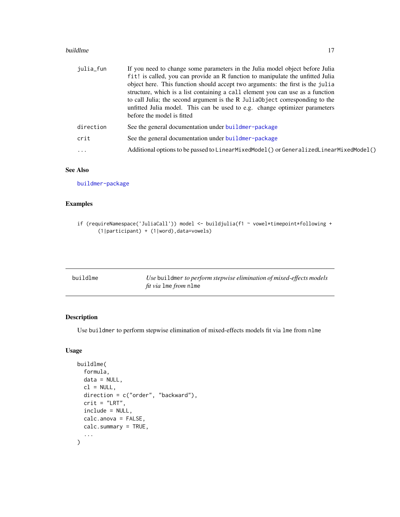#### <span id="page-16-0"></span>buildlme and the state of the state of the state of the state of the state of the state of the state of the state of the state of the state of the state of the state of the state of the state of the state of the state of t

| julia_fun | If you need to change some parameters in the Julia model object before Julia<br>fit! is called, you can provide an R function to manipulate the unfitted Julia<br>object here. This function should accept two arguments: the first is the julia<br>structure, which is a list containing a call element you can use as a function<br>to call Julia; the second argument is the R JuliaObject corresponding to the<br>unfitted Julia model. This can be used to e.g. change optimizer parameters<br>before the model is fitted |
|-----------|--------------------------------------------------------------------------------------------------------------------------------------------------------------------------------------------------------------------------------------------------------------------------------------------------------------------------------------------------------------------------------------------------------------------------------------------------------------------------------------------------------------------------------|
| direction | See the general documentation under buildmer-package                                                                                                                                                                                                                                                                                                                                                                                                                                                                           |
| crit      | See the general documentation under buildmer-package                                                                                                                                                                                                                                                                                                                                                                                                                                                                           |
| $\ddots$  | Additional options to be passed to LinearMixedModel() or GeneralizedLinearMixedModel()                                                                                                                                                                                                                                                                                                                                                                                                                                         |
|           |                                                                                                                                                                                                                                                                                                                                                                                                                                                                                                                                |

#### See Also

[buildmer-package](#page-1-1)

#### Examples

```
if (requireNamespace('JuliaCall')) model <- buildjulia(f1 ~ vowel*timepoint*following +
      (1|participant) + (1|word),data=vowels)
```

| buildlme | Use buildmer to perform stepwise elimination of mixed-effects models |
|----------|----------------------------------------------------------------------|
|          | <i>fit via</i> lme <i>from</i> nlme                                  |

#### Description

Use buildmer to perform stepwise elimination of mixed-effects models fit via lme from nlme

#### Usage

```
buildlme(
  formula,
  data = NULL,
  cl = NULL,direction = c("order", "backward"),
  crit = "LRT",include = NULL,
  calc.anova = FALSE,
  calc.summary = TRUE,
  ...
\mathcal{L}
```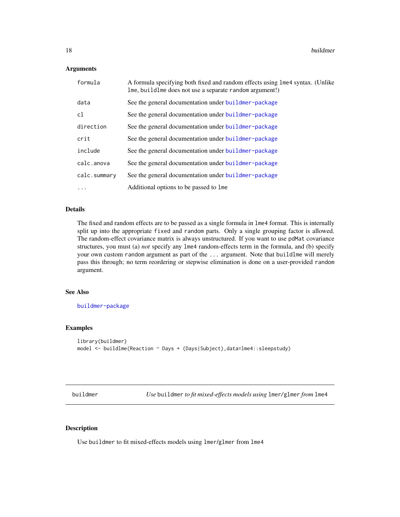#### <span id="page-17-0"></span>Arguments

| formula      | A formula specifying both fixed and random effects using lme4 syntax. (Unlike<br>lme, buildlme does not use a separate random argument!) |
|--------------|------------------------------------------------------------------------------------------------------------------------------------------|
| data         | See the general documentation under buildmer-package                                                                                     |
| cl           | See the general documentation under buildmer-package                                                                                     |
| direction    | See the general documentation under buildmer-package                                                                                     |
| crit         | See the general documentation under buildmer-package                                                                                     |
| include      | See the general documentation under buildmer-package                                                                                     |
| calc.anova   | See the general documentation under buildmer-package                                                                                     |
| calc.summary | See the general documentation under buildmer-package                                                                                     |
|              | Additional options to be passed to lme                                                                                                   |

#### Details

The fixed and random effects are to be passed as a single formula in lme4 format. This is internally split up into the appropriate fixed and random parts. Only a single grouping factor is allowed. The random-effect covariance matrix is always unstructured. If you want to use pdMat covariance structures, you must (a) *not* specify any lme4 random-effects term in the formula, and (b) specify your own custom random argument as part of the ... argument. Note that buildlme will merely pass this through; no term reordering or stepwise elimination is done on a user-provided random argument.

#### See Also

[buildmer-package](#page-1-1)

#### Examples

```
library(buildmer)
model <- buildlme(Reaction ~ Days + (Days|Subject),data=lme4::sleepstudy)
```
<span id="page-17-1"></span>buildmer *Use* buildmer *to fit mixed-effects models using* lmer*/*glmer *from* lme4

#### Description

Use buildmer to fit mixed-effects models using lmer/glmer from lme4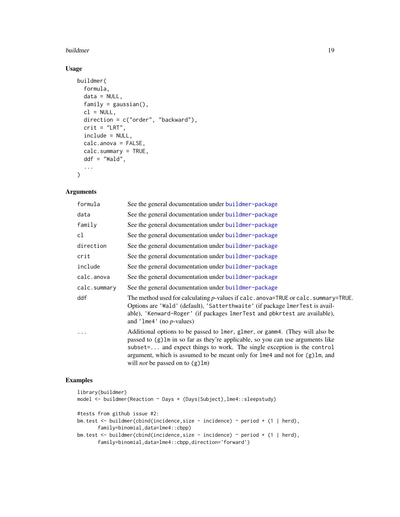#### buildmer and the state of the state of the state of the state of the state of the state of the state of the state of the state of the state of the state of the state of the state of the state of the state of the state of t

#### Usage

```
buildmer(
 formula,
  data = NULL,
 family = gaussian(),
 cl = NULL,direction = c("order", "backward"),
  crit = "LRT",include = NULL,
 calc.anova = FALSE,
  calc.summary = TRUE,
 ddf = "Wald",
  ...
\mathcal{L}
```
#### Arguments

| formula      | See the general documentation under buildmer-package                                                                                                                                                                                                                                                                                                                   |
|--------------|------------------------------------------------------------------------------------------------------------------------------------------------------------------------------------------------------------------------------------------------------------------------------------------------------------------------------------------------------------------------|
| data         | See the general documentation under buildmer-package                                                                                                                                                                                                                                                                                                                   |
| family       | See the general documentation under buildmer-package                                                                                                                                                                                                                                                                                                                   |
| cl           | See the general documentation under buildmer-package                                                                                                                                                                                                                                                                                                                   |
| direction    | See the general documentation under buildmer-package                                                                                                                                                                                                                                                                                                                   |
| crit         | See the general documentation under buildmer-package                                                                                                                                                                                                                                                                                                                   |
| include      | See the general documentation under buildmer-package                                                                                                                                                                                                                                                                                                                   |
| calc.anova   | See the general documentation under buildmer-package                                                                                                                                                                                                                                                                                                                   |
| calc.summary | See the general documentation under buildmer-package                                                                                                                                                                                                                                                                                                                   |
| ddf          | The method used for calculating $p$ -values if calc. anova=TRUE or calc. summary=TRUE.<br>Options are 'Wald' (default), 'Satterthwaite' (if package lmerTest is avail-<br>able), 'Kenward-Roger' (if packages lmerTest and pbkrtest are available),<br>and '1me4' (no $p$ -values)                                                                                     |
| .            | Additional options to be passed to lmer, glmer, or gamm4. (They will also be<br>passed to (g) lm in so far as they're applicable, so you can use arguments like<br>subset= and expect things to work. The single exception is the control<br>argument, which is assumed to be meant only for lme4 and not for (g) lm, and<br>will <i>not</i> be passed on to $(g)$ lm) |

```
library(buildmer)
model <- buildmer(Reaction ~ Days + (Days|Subject),lme4::sleepstudy)
#tests from github issue #2:
bm.test <- buildmer(cbind(incidence,size - incidence) ~ period + (1 | herd),
      family=binomial,data=lme4::cbpp)
bm.test <- buildmer(cbind(incidence,size - incidence) ~ period + (1 | herd),
       family=binomial,data=lme4::cbpp,direction='forward')
```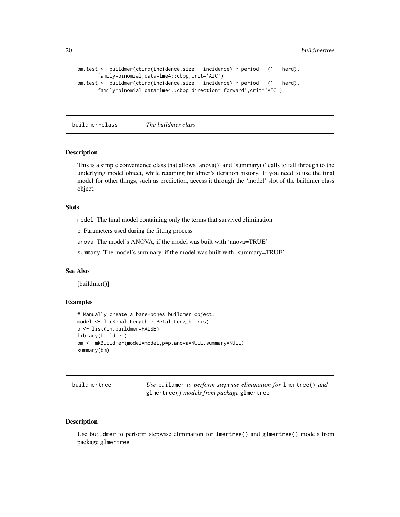```
bm.test <- buildmer(cbind(incidence,size - incidence) ~ period + (1 | herd),
      family=binomial,data=lme4::cbpp,crit='AIC')
bm.test <- buildmer(cbind(incidence,size - incidence) ~ period + (1 | herd),
      family=binomial,data=lme4::cbpp,direction='forward',crit='AIC')
```
buildmer-class *The buildmer class*

#### Description

This is a simple convenience class that allows 'anova()' and 'summary()' calls to fall through to the underlying model object, while retaining buildmer's iteration history. If you need to use the final model for other things, such as prediction, access it through the 'model' slot of the buildmer class object.

#### Slots

model The final model containing only the terms that survived elimination

p Parameters used during the fitting process

anova The model's ANOVA, if the model was built with 'anova=TRUE'

summary The model's summary, if the model was built with 'summary=TRUE'

#### See Also

[buildmer()]

#### Examples

```
# Manually create a bare-bones buildmer object:
model <- lm(Sepal.Length ~ Petal.Length,iris)
p <- list(in.buildmer=FALSE)
library(buildmer)
bm <- mkBuildmer(model=model,p=p,anova=NULL,summary=NULL)
summary(bm)
```
<span id="page-19-1"></span>

| buildmertree | Use buildmer to perform stepwise elimination for lmertree() and |
|--------------|-----------------------------------------------------------------|
|              | glmertree() models from package glmertree                       |

#### Description

Use buildmer to perform stepwise elimination for lmertree() and glmertree() models from package glmertree

<span id="page-19-0"></span>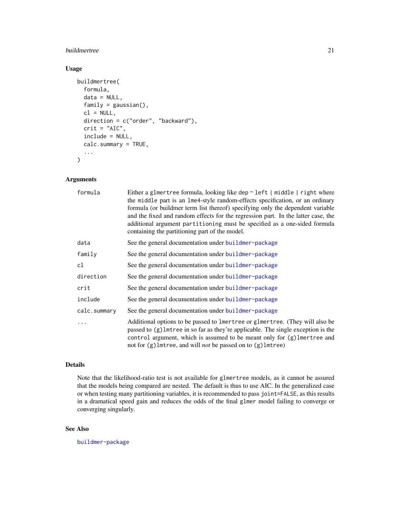#### buildmertree 21

#### Usage

```
buildmertree(
  formula,
  data = NULL,
  family = gaussian(),
  cl = NULL,direction = c("order", "backward"),
  crit = "AIC",include = NULL,
  calc.summary = TRUE,
  ...
\mathcal{L}
```
#### Arguments

| formula      | Either a glmertree formula, looking like dep $\sim$ left   middle   right where<br>the middle part is an lme4-style random-effects specification, or an ordinary<br>formula (or buildmer term list thereof) specifying only the dependent variable<br>and the fixed and random effects for the regression part. In the latter case, the<br>additional argument partitioning must be specified as a one-sided formula<br>containing the partitioning part of the model. |
|--------------|------------------------------------------------------------------------------------------------------------------------------------------------------------------------------------------------------------------------------------------------------------------------------------------------------------------------------------------------------------------------------------------------------------------------------------------------------------------------|
| data         | See the general documentation under buildmer-package                                                                                                                                                                                                                                                                                                                                                                                                                   |
| family       | See the general documentation under buildmer-package                                                                                                                                                                                                                                                                                                                                                                                                                   |
| cl           | See the general documentation under buildmer-package                                                                                                                                                                                                                                                                                                                                                                                                                   |
| direction    | See the general documentation under buildmer-package                                                                                                                                                                                                                                                                                                                                                                                                                   |
| crit         | See the general documentation under buildmer-package                                                                                                                                                                                                                                                                                                                                                                                                                   |
| include      | See the general documentation under buildmer-package                                                                                                                                                                                                                                                                                                                                                                                                                   |
| calc.summary | See the general documentation under buildmer-package                                                                                                                                                                                                                                                                                                                                                                                                                   |
| $\ddots$     | Additional options to be passed to lmertree or glmertree. (They will also be<br>passed to (g) lmtree in so far as they're applicable. The single exception is the<br>control argument, which is assumed to be meant only for (g) lmertree and<br>not for (g) lmtree, and will <i>not</i> be passed on to (g) lmtree)                                                                                                                                                   |

#### Details

Note that the likelihood-ratio test is not available for glmertree models, as it cannot be assured that the models being compared are nested. The default is thus to use AIC. In the generalized case or when testing many partitioning variables, it is recommended to pass joint=FALSE, as this results in a dramatical speed gain and reduces the odds of the final glmer model failing to converge or converging singularly.

#### See Also

[buildmer-package](#page-1-1)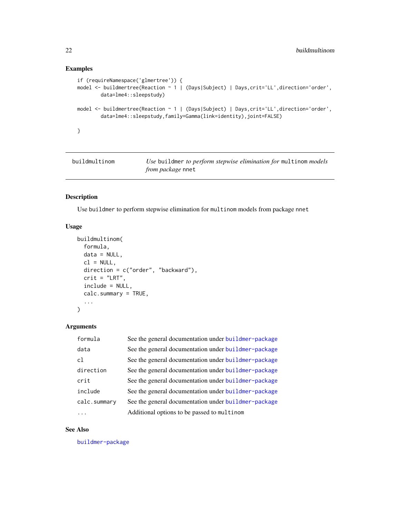#### <span id="page-21-0"></span>Examples

```
if (requireNamespace('glmertree')) {
model <- buildmertree(Reaction ~ 1 | (Days|Subject) | Days,crit='LL',direction='order',
        data=lme4::sleepstudy)
model <- buildmertree(Reaction ~ 1 | (Days|Subject) | Days,crit='LL',direction='order',
        data=lme4::sleepstudy,family=Gamma(link=identity),joint=FALSE)
}
```
buildmultinom *Use* buildmer *to perform stepwise elimination for* multinom *models from package* nnet

#### Description

Use buildmer to perform stepwise elimination for multinom models from package nnet

#### Usage

```
buildmultinom(
  formula,
  data = NULL,
  cl = NULL,direction = c("order", "backward"),
 crit = "LRT",include = NULL,
  calc.summary = TRUE,
  ...
)
```
#### Arguments

| formula      | See the general documentation under buildmer-package |
|--------------|------------------------------------------------------|
| data         | See the general documentation under buildmer-package |
| cl           | See the general documentation under buildmer-package |
| direction    | See the general documentation under buildmer-package |
| crit         | See the general documentation under buildmer-package |
| include      | See the general documentation under buildmer-package |
| calc.summary | See the general documentation under buildmer-package |
|              | Additional options to be passed to multinom          |

#### See Also

[buildmer-package](#page-1-1)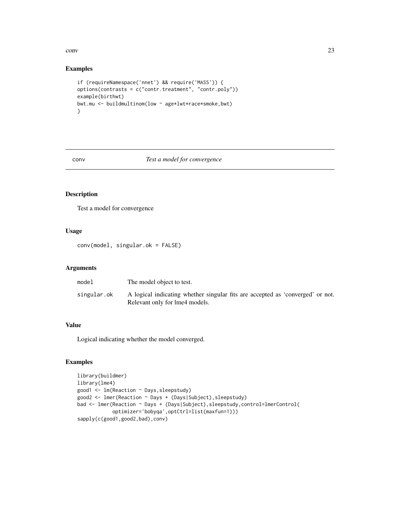<span id="page-22-0"></span> $conv$  23

#### Examples

```
if (requireNamespace('nnet') && require('MASS')) {
options(contrasts = c("contr.treatment", "contr.poly"))
example(birthwt)
bwt.mu <- buildmultinom(low ~ age*lwt*race*smoke,bwt)
}
```
#### conv *Test a model for convergence*

#### Description

Test a model for convergence

#### Usage

conv(model, singular.ok = FALSE)

#### Arguments

| model       | The model object to test.                                                                                        |
|-------------|------------------------------------------------------------------------------------------------------------------|
| singular.ok | A logical indicating whether singular fits are accepted as 'converged' or not.<br>Relevant only for lme4 models. |

#### Value

Logical indicating whether the model converged.

```
library(buildmer)
library(lme4)
good1 <- lm(Reaction ~ Days,sleepstudy)
good2 <- lmer(Reaction ~ Days + (Days|Subject),sleepstudy)
bad <- lmer(Reaction ~ Days + (Days|Subject), sleepstudy, control=lmerControl(
            optimizer='bobyqa',optCtrl=list(maxfun=1)))
sapply(c(good1,good2,bad),conv)
```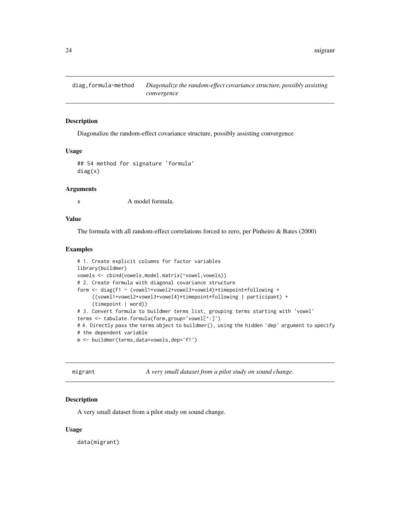<span id="page-23-0"></span>

#### Description

Diagonalize the random-effect covariance structure, possibly assisting convergence

#### Usage

```
## S4 method for signature 'formula'
diag(x)
```
#### Arguments

x A model formula.

#### Value

The formula with all random-effect correlations forced to zero, per Pinheiro & Bates (2000)

#### Examples

```
# 1. Create explicit columns for factor variables
library(buildmer)
vowels <- cbind(vowels,model.matrix(~vowel,vowels))
# 2. Create formula with diagonal covariance structure
form <- diag(f1 ~ (vowel1+vowel2+vowel3+vowel4)*timepoint*following +
     ((vowel1+vowel2+vowel3+vowel4)*timepoint*following | participant) +
     (timepoint | word))
# 3. Convert formula to buildmer terms list, grouping terms starting with 'vowel'
terms <- tabulate.formula(form,group='vowel[^:]')
# 4. Directly pass the terms object to buildmer(), using the hidden 'dep' argument to specify
# the dependent variable
m <- buildmer(terms,data=vowels,dep='f1')
```
migrant *A very small dataset from a pilot study on sound change.*

#### Description

A very small dataset from a pilot study on sound change.

#### Usage

data(migrant)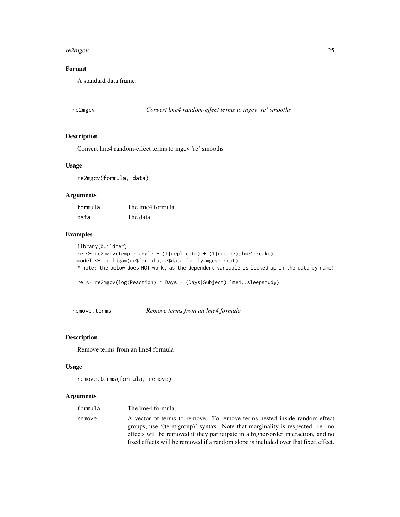#### <span id="page-24-0"></span>re2mgcv 25

#### Format

A standard data frame.

<span id="page-24-1"></span>re2mgcv *Convert lme4 random-effect terms to mgcv 're' smooths*

#### Description

Convert lme4 random-effect terms to mgcv 're' smooths

#### Usage

re2mgcv(formula, data)

#### Arguments

formula The lme4 formula. data The data.

#### Examples

```
library(buildmer)
re <- re2mgcv(temp ~ angle + (1|replicate) + (1|recipe),lme4::cake)
model <- buildgam(re$formula,re$data,family=mgcv::scat)
# note: the below does NOT work, as the dependent variable is looked up in the data by name!
```
re <- re2mgcv(log(Reaction) ~ Days + (Days|Subject),lme4::sleepstudy)

remove.terms *Remove terms from an lme4 formula*

#### Description

Remove terms from an lme4 formula

#### Usage

```
remove.terms(formula, remove)
```
#### Arguments

| formula | The lme4 formula.                                                                                                                                          |
|---------|------------------------------------------------------------------------------------------------------------------------------------------------------------|
| remove  | A vector of terms to remove. To remove terms nested inside random-effect<br>groups, use '(term group)' syntax. Note that marginality is respected, i.e. no |
|         | effects will be removed if they participate in a higher-order interaction, and no                                                                          |
|         | fixed effects will be removed if a random slope is included over that fixed effect.                                                                        |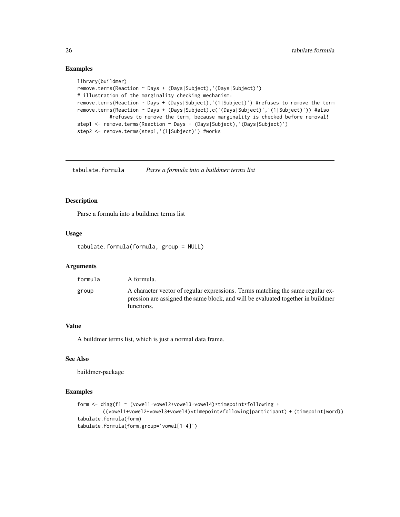#### Examples

```
library(buildmer)
remove.terms(Reaction ~ Days + (Days|Subject),'(Days|Subject)')
# illustration of the marginality checking mechanism:
remove.terms(Reaction ~ Days + (Days|Subject),'(1|Subject)') #refuses to remove the term
remove.terms(Reaction ~ Days + (Days|Subject),c('(Days|Subject)','(1|Subject)')) #also
           #refuses to remove the term, because marginality is checked before removal!
step1 <- remove.terms(Reaction ~ Days + (Days|Subject),'(Days|Subject)')
step2 <- remove.terms(step1,'(1|Subject)') #works
```
<span id="page-25-1"></span>tabulate.formula *Parse a formula into a buildmer terms list*

#### Description

Parse a formula into a buildmer terms list

#### Usage

tabulate.formula(formula, group = NULL)

#### Arguments

| formula | A formula.                                                                                                                                                                       |
|---------|----------------------------------------------------------------------------------------------------------------------------------------------------------------------------------|
| group   | A character vector of regular expressions. Terms matching the same regular ex-<br>pression are assigned the same block, and will be evaluated together in buildmen<br>functions. |

#### Value

A buildmer terms list, which is just a normal data frame.

#### See Also

buildmer-package

```
form <- diag(f1 ~ (vowel1+vowel2+vowel3+vowel4)*timepoint*following +
        ((vowel1+vowel2+vowel3+vowel4)*timepoint*following|participant) + (timepoint|word))
tabulate.formula(form)
tabulate.formula(form,group='vowel[1-4]')
```
<span id="page-25-0"></span>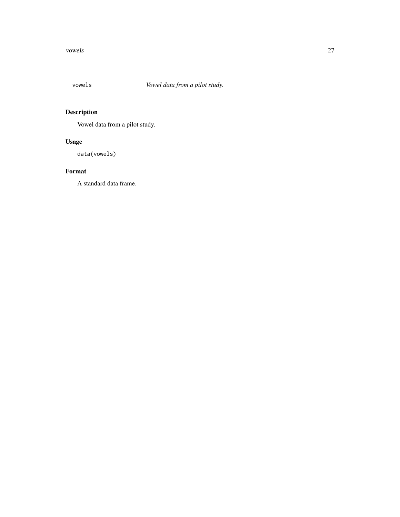<span id="page-26-0"></span>

# Description

Vowel data from a pilot study.

# Usage

data(vowels)

#### Format

A standard data frame.